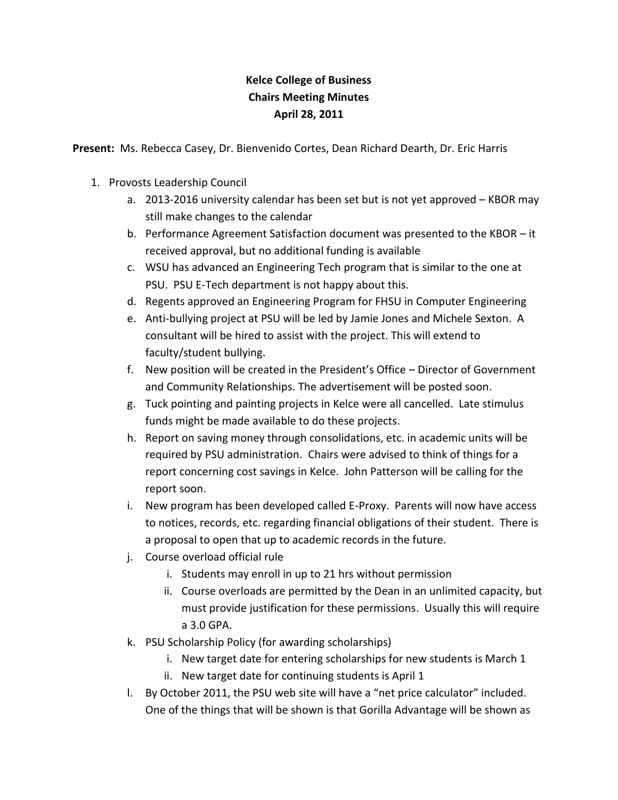## **Kelce College of Business Chairs Meeting Minutes April 28, 2011**

**Present:** Ms. Rebecca Casey, Dr. Bienvenido Cortes, Dean Richard Dearth, Dr. Eric Harris

- 1. Provosts Leadership Council
	- a. 2013-2016 university calendar has been set but is not yet approved KBOR may still make changes to the calendar
	- b. Performance Agreement Satisfaction document was presented to the KBOR it received approval, but no additional funding is available
	- c. WSU has advanced an Engineering Tech program that is similar to the one at PSU. PSU E-Tech department is not happy about this.
	- d. Regents approved an Engineering Program for FHSU in Computer Engineering
	- e. Anti-bullying project at PSU will be led by Jamie Jones and Michele Sexton. A consultant will be hired to assist with the project. This will extend to faculty/student bullying.
	- f. New position will be created in the President's Office Director of Government and Community Relationships. The advertisement will be posted soon.
	- g. Tuck pointing and painting projects in Kelce were all cancelled. Late stimulus funds might be made available to do these projects.
	- h. Report on saving money through consolidations, etc. in academic units will be required by PSU administration. Chairs were advised to think of things for a report concerning cost savings in Kelce. John Patterson will be calling for the report soon.
	- i. New program has been developed called E-Proxy. Parents will now have access to notices, records, etc. regarding financial obligations of their student. There is a proposal to open that up to academic records in the future.
	- j. Course overload official rule
		- i. Students may enroll in up to 21 hrs without permission
		- ii. Course overloads are permitted by the Dean in an unlimited capacity, but must provide justification for these permissions. Usually this will require a 3.0 GPA.
	- k. PSU Scholarship Policy (for awarding scholarships)
		- i. New target date for entering scholarships for new students is March 1
		- ii. New target date for continuing students is April 1
	- l. By October 2011, the PSU web site will have a "net price calculator" included. One of the things that will be shown is that Gorilla Advantage will be shown as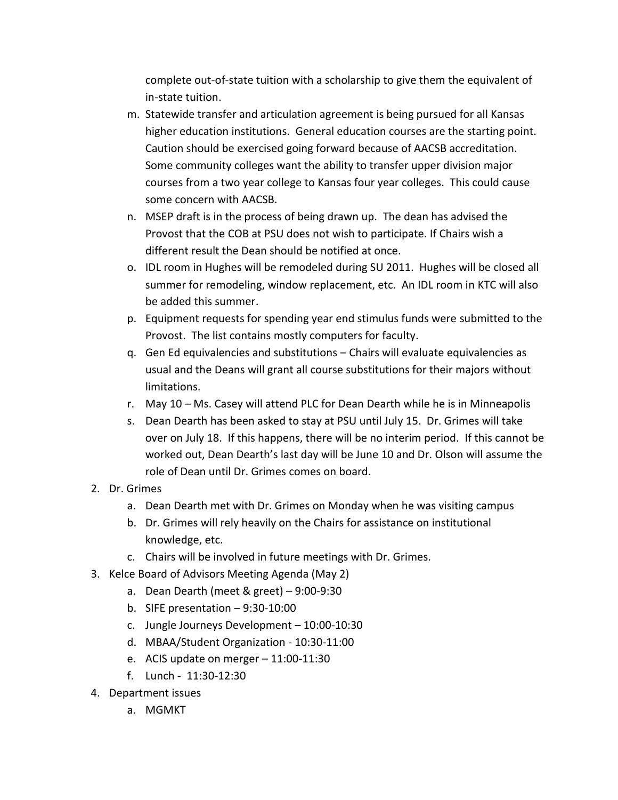complete out-of-state tuition with a scholarship to give them the equivalent of in-state tuition.

- m. Statewide transfer and articulation agreement is being pursued for all Kansas higher education institutions. General education courses are the starting point. Caution should be exercised going forward because of AACSB accreditation. Some community colleges want the ability to transfer upper division major courses from a two year college to Kansas four year colleges. This could cause some concern with AACSB.
- n. MSEP draft is in the process of being drawn up. The dean has advised the Provost that the COB at PSU does not wish to participate. If Chairs wish a different result the Dean should be notified at once.
- o. IDL room in Hughes will be remodeled during SU 2011. Hughes will be closed all summer for remodeling, window replacement, etc. An IDL room in KTC will also be added this summer.
- p. Equipment requests for spending year end stimulus funds were submitted to the Provost. The list contains mostly computers for faculty.
- q. Gen Ed equivalencies and substitutions Chairs will evaluate equivalencies as usual and the Deans will grant all course substitutions for their majors without limitations.
- r. May 10 Ms. Casey will attend PLC for Dean Dearth while he is in Minneapolis
- s. Dean Dearth has been asked to stay at PSU until July 15. Dr. Grimes will take over on July 18. If this happens, there will be no interim period. If this cannot be worked out, Dean Dearth's last day will be June 10 and Dr. Olson will assume the role of Dean until Dr. Grimes comes on board.
- 2. Dr. Grimes
	- a. Dean Dearth met with Dr. Grimes on Monday when he was visiting campus
	- b. Dr. Grimes will rely heavily on the Chairs for assistance on institutional knowledge, etc.
	- c. Chairs will be involved in future meetings with Dr. Grimes.
- 3. Kelce Board of Advisors Meeting Agenda (May 2)
	- a. Dean Dearth (meet & greet) 9:00-9:30
	- b. SIFE presentation  $-9:30-10:00$
	- c. Jungle Journeys Development 10:00-10:30
	- d. MBAA/Student Organization 10:30-11:00
	- e. ACIS update on merger 11:00-11:30
	- f. Lunch 11:30-12:30
- 4. Department issues
	- a. MGMKT